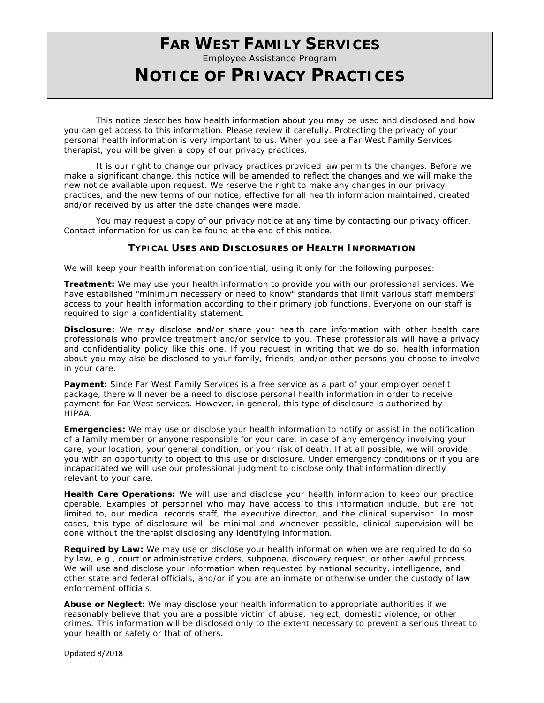# **FAR WEST FAMILY SERVICES**

Employee Assistance Program

## **NOTICE OF PRIVACY PRACTICES**

This notice describes how health information about you may be used and disclosed and how you can get access to this information. Please review it carefully. Protecting the privacy of your personal health information is very important to us. When you see a Far West Family Services therapist, you will be given a copy of our privacy practices.

It is our right to change our privacy practices provided law permits the changes. Before we make a significant change, this notice will be amended to reflect the changes and we will make the new notice available upon request. We reserve the right to make any changes in our privacy practices, and the new terms of our notice, effective for all health information maintained, created and/or received by us after the date changes were made.

You may request a copy of our privacy notice at any time by contacting our privacy officer. Contact information for us can be found at the end of this notice.

### **TYPICAL USES AND DISCLOSURES OF HEALTH INFORMATION**

We will keep your health information confidential, using it only for the following purposes:

**Treatment:** We may use your health information to provide you with our professional services. We have established "minimum necessary or need to know" standards that limit various staff members' access to your health information according to their primary job functions. Everyone on our staff is required to sign a confidentiality statement.

**Disclosure:** We may disclose and/or share your health care information with other health care professionals who provide treatment and/or service to you. These professionals will have a privacy and confidentiality policy like this one. If you request in writing that we do so, health information about you may also be disclosed to your family, friends, and/or other persons you choose to involve in your care.

**Payment:** Since Far West Family Services is a free service as a part of your employer benefit package, there will never be a need to disclose personal health information in order to receive payment for Far West services. However, in general, this type of disclosure is authorized by HIPAA.

**Emergencies:** We may use or disclose your health information to notify or assist in the notification of a family member or anyone responsible for your care, in case of any emergency involving your care, your location, your general condition, or your risk of death. If at all possible, we will provide you with an opportunity to object to this use or disclosure. Under emergency conditions or if you are incapacitated we will use our professional judgment to disclose only that information directly relevant to your care.

**Health Care Operations:** We will use and disclose your health information to keep our practice operable. Examples of personnel who may have access to this information include, but are not limited to, our medical records staff, the executive director, and the clinical supervisor. In most cases, this type of disclosure will be minimal and whenever possible, clinical supervision will be done without the therapist disclosing any identifying information.

**Required by Law:** We may use or disclose your health information when we are required to do so by law, e.g., court or administrative orders, subpoena, discovery request, or other lawful process. We will use and disclose your information when requested by national security, intelligence, and other state and federal officials, and/or if you are an inmate or otherwise under the custody of law enforcement officials.

**Abuse or Neglect:** We may disclose your health information to appropriate authorities if we reasonably believe that you are a possible victim of abuse, neglect, domestic violence, or other crimes. This information will be disclosed only to the extent necessary to prevent a serious threat to your health or safety or that of others.

Updated 8/2018